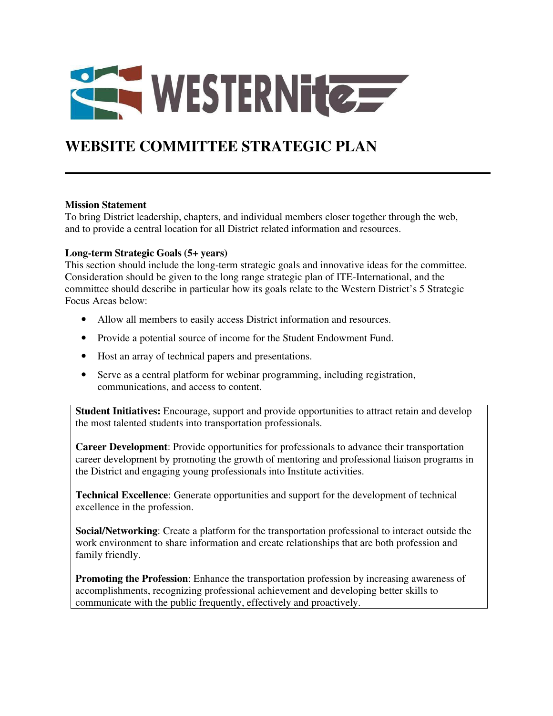

# **WEBSITE COMMITTEE STRATEGIC PLAN**

#### **Mission Statement**

To bring District leadership, chapters, and individual members closer together through the web, and to provide a central location for all District related information and resources.

## **Long-term Strategic Goals (5+ years)**

This section should include the long-term strategic goals and innovative ideas for the committee. Consideration should be given to the long range strategic plan of ITE-International, and the committee should describe in particular how its goals relate to the Western District's 5 Strategic Focus Areas below:

- Allow all members to easily access District information and resources.
- Provide a potential source of income for the Student Endowment Fund.
- Host an array of technical papers and presentations.
- Serve as a central platform for webinar programming, including registration, communications, and access to content.

**Student Initiatives:** Encourage, support and provide opportunities to attract retain and develop the most talented students into transportation professionals.

**Career Development**: Provide opportunities for professionals to advance their transportation career development by promoting the growth of mentoring and professional liaison programs in the District and engaging young professionals into Institute activities.

**Technical Excellence**: Generate opportunities and support for the development of technical excellence in the profession.

**Social/Networking**: Create a platform for the transportation professional to interact outside the work environment to share information and create relationships that are both profession and family friendly.

**Promoting the Profession**: Enhance the transportation profession by increasing awareness of accomplishments, recognizing professional achievement and developing better skills to communicate with the public frequently, effectively and proactively.